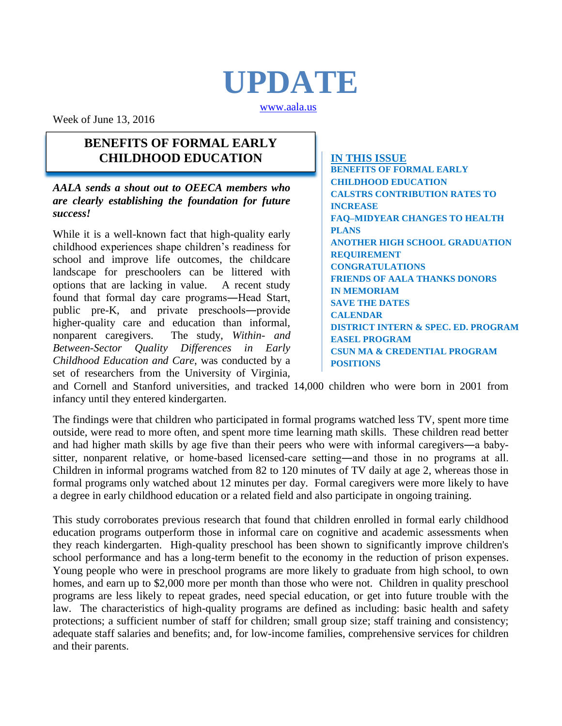# **UPDATE**

[www.aala.us](http://www.aala.us/)

Week of June 13, 2016

#### **BENEFITS OF FORMAL EARLY CHILDHOOD EDUCATION**

*AALA sends a shout out to OEECA members who are clearly establishing the foundation for future success!*

While it is a well-known fact that high-quality early childhood experiences shape children's readiness for school and improve life outcomes, the childcare landscape for preschoolers can be littered with options that are lacking in value. A recent study found that formal day care programs―Head Start, public pre-K, and private preschools―provide higher-quality care and education than informal, nonparent caregivers. The study, *Within- and Between-Sector Quality Differences in Early Childhood Education and Care*, was conducted by a set of researchers from the University of Virginia,

**IN THIS ISSUE BENEFITS OF FORMAL EARLY CHILDHOOD EDUCATION CALSTRS CONTRIBUTION RATES TO INCREASE FAQ–MIDYEAR CHANGES TO HEALTH PLANS ANOTHER HIGH SCHOOL GRADUATION REQUIREMENT CONGRATULATIONS FRIENDS OF AALA THANKS DONORS IN MEMORIAM SAVE THE DATES CALENDAR DISTRICT INTERN & SPEC. ED. PROGRAM EASEL PROGRAM CSUN MA & CREDENTIAL PROGRAM POSITIONS**

and Cornell and Stanford universities, and tracked 14,000 children who were born in 2001 from infancy until they entered kindergarten.

The findings were that children who participated in formal programs watched less TV, spent more time outside, were read to more often, and spent more time learning math skills. These children read better and had higher math skills by age five than their peers who were with informal caregivers―a babysitter, nonparent relative, or home-based licensed-care setting―and those in no programs at all. Children in informal programs watched from 82 to 120 minutes of TV daily at age 2, whereas those in formal programs only watched about 12 minutes per day. Formal caregivers were more likely to have a degree in early childhood education or a related field and also participate in ongoing training.

This study corroborates previous research that found that children enrolled in formal early childhood education programs outperform those in informal care on cognitive and academic assessments when they reach kindergarten. High-quality preschool has been shown to significantly improve children's school performance and has a long-term benefit to the economy in the reduction of prison expenses. Young people who were in preschool programs are more likely to graduate from high school, to own homes, and earn up to \$2,000 more per month than those who were not. Children in quality preschool programs are less likely to repeat grades, need special education, or get into future trouble with the law. The characteristics of high-quality programs are defined as including: basic health and safety protections; a sufficient number of staff for children; small group size; staff training and consistency; adequate staff salaries and benefits; and, for low-income families, comprehensive services for children and their parents.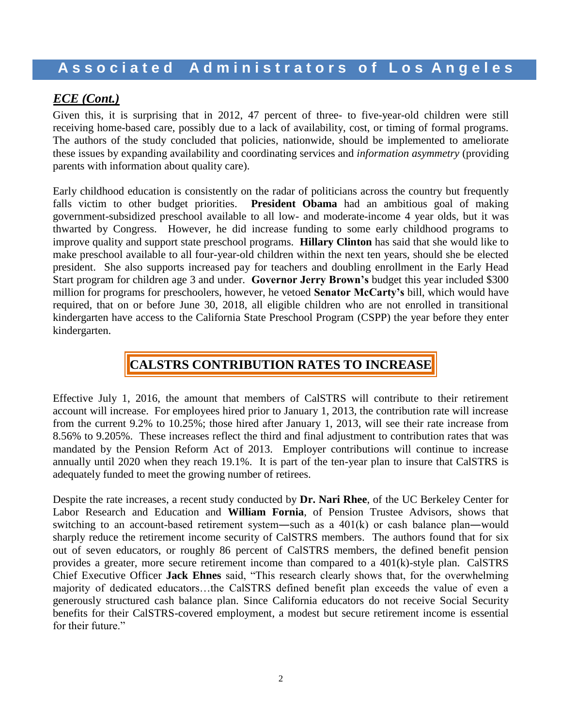#### *ECE (Cont.)*

Given this, it is surprising that in 2012, 47 percent of three- to five-year-old children were still receiving home-based care, possibly due to a lack of availability, cost, or timing of formal programs. The authors of the study concluded that policies, nationwide, should be implemented to ameliorate these issues by expanding availability and coordinating services and *information asymmetry* (providing parents with information about quality care).

Early childhood education is consistently on the radar of politicians across the country but frequently falls victim to other budget priorities. **President Obama** had an ambitious goal of making government-subsidized preschool available to all low- and moderate-income 4 year olds, but it was thwarted by Congress. However, he did increase funding to some early childhood programs to improve quality and support state preschool programs. **Hillary Clinton** has said that she would like to make preschool available to all four-year-old children within the next ten years, should she be elected president. She also supports increased pay for teachers and doubling enrollment in the Early Head Start program for children age 3 and under. **Governor Jerry Brown's** budget this year included \$300 million for programs for preschoolers, however, he vetoed **Senator McCarty's** bill, which would have required, that on or before June 30, 2018, all eligible children who are not enrolled in transitional kindergarten have access to the California State Preschool Program (CSPP) the year before they enter kindergarten.

## **CALSTRS CONTRIBUTION RATES TO INCREASE**

Effective July 1, 2016, the amount that members of CalSTRS will contribute to their retirement account will increase. For employees hired prior to January 1, 2013, the contribution rate will increase from the current 9.2% to 10.25%; those hired after January 1, 2013, will see their rate increase from 8.56% to 9.205%. These increases reflect the third and final adjustment to contribution rates that was mandated by the Pension Reform Act of 2013. Employer contributions will continue to increase annually until 2020 when they reach 19.1%. It is part of the ten-year plan to insure that CalSTRS is adequately funded to meet the growing number of retirees.

Despite the rate increases, a recent study conducted by **Dr. Nari Rhee**, of the UC Berkeley Center for Labor Research and Education and **William Fornia**, of Pension Trustee Advisors, shows that switching to an account-based retirement system―such as a 401(k) or cash balance plan―would sharply reduce the retirement income security of CalSTRS members. The authors found that for six out of seven educators, or roughly 86 percent of CalSTRS members, the defined benefit pension provides a greater, more secure retirement income than compared to a  $401(k)$ -style plan. CalSTRS Chief Executive Officer **Jack Ehnes** said, "This research clearly shows that, for the overwhelming majority of dedicated educators…the CalSTRS defined benefit plan exceeds the value of even a generously structured cash balance plan. Since California educators do not receive Social Security benefits for their CalSTRS-covered employment, a modest but secure retirement income is essential for their future."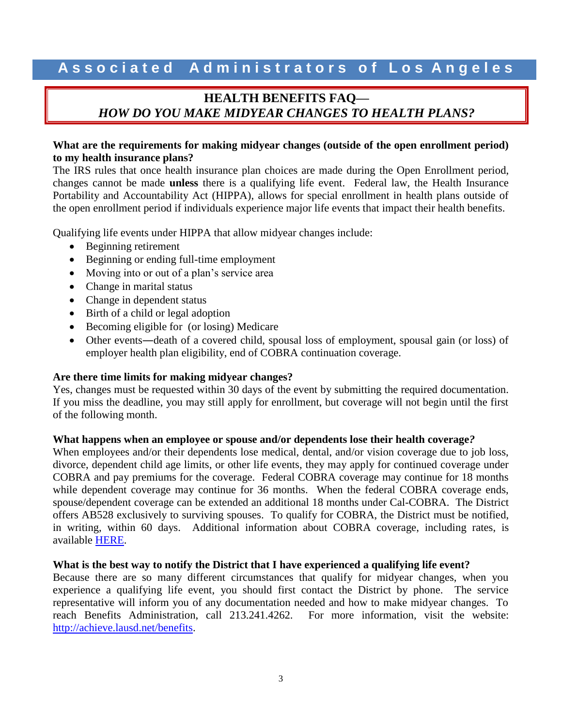## **HEALTH BENEFITS FAQ—** *HOW DO YOU MAKE MIDYEAR CHANGES TO HEALTH PLANS?*

#### **What are the requirements for making midyear changes (outside of the open enrollment period) to my health insurance plans?**

The IRS rules that once health insurance plan choices are made during the Open Enrollment period, changes cannot be made **unless** there is a qualifying life event. Federal law, the Health Insurance Portability and Accountability Act (HIPPA), allows for special enrollment in health plans outside of the open enrollment period if individuals experience major life events that impact their health benefits.

Qualifying life events under HIPPA that allow midyear changes include:

- Beginning retirement
- Beginning or ending full-time employment
- Moving into or out of a plan's service area
- Change in marital status
- Change in dependent status
- Birth of a child or legal adoption
- Becoming eligible for (or losing) Medicare
- Other events―death of a covered child, spousal loss of employment, spousal gain (or loss) of employer health plan eligibility, end of COBRA continuation coverage.

#### **Are there time limits for making midyear changes?**

Yes, changes must be requested within 30 days of the event by submitting the required documentation. If you miss the deadline, you may still apply for enrollment, but coverage will not begin until the first of the following month.

#### **What happens when an employee or spouse and/or dependents lose their health coverage***?*

When employees and/or their dependents lose medical, dental, and/or vision coverage due to job loss, divorce, dependent child age limits, or other life events, they may apply for continued coverage under COBRA and pay premiums for the coverage. Federal COBRA coverage may continue for 18 months while dependent coverage may continue for 36 months. When the federal COBRA coverage ends, spouse/dependent coverage can be extended an additional 18 months under Cal-COBRA. The District offers AB528 exclusively to surviving spouses. To qualify for COBRA, the District must be notified, in writing, within 60 days. Additional information about COBRA coverage, including rates, is available [HERE.](http://achieve.lausd.net/Page/1982)

#### **What is the best way to notify the District that I have experienced a qualifying life event?**

Because there are so many different circumstances that qualify for midyear changes, when you experience a qualifying life event, you should first contact the District by phone. The service representative will inform you of any documentation needed and how to make midyear changes. To reach Benefits Administration, call 213.241.4262. For more information, visit the website: [http://achieve.lausd.net/benefits.](http://achieve.lausd.net/benefits)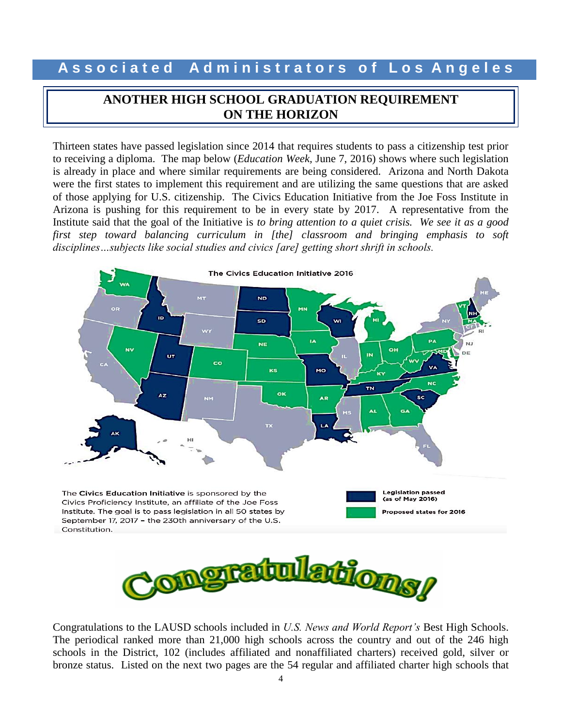### **ANOTHER HIGH SCHOOL GRADUATION REQUIREMENT ON THE HORIZON**

Thirteen states have passed legislation since 2014 that requires students to pass a citizenship test prior to receiving a diploma. The map below (*Education Week,* June 7, 2016) shows where such legislation is already in place and where similar requirements are being considered. Arizona and North Dakota were the first states to implement this requirement and are utilizing the same questions that are asked of those applying for U.S. citizenship. The Civics Education Initiative from the Joe Foss Institute in Arizona is pushing for this requirement to be in every state by 2017. A representative from the Institute said that the goal of the Initiative is *to bring attention to a quiet crisis. We see it as a good first step toward balancing curriculum in [the] classroom and bringing emphasis to soft disciplines…subjects like social studies and civics [are] getting short shrift in schools.*



Congratulations to the LAUSD schools included in *U.S. News and World Report's* Best High Schools. The periodical ranked more than 21,000 high schools across the country and out of the 246 high schools in the District, 102 (includes affiliated and nonaffiliated charters) received gold, silver or bronze status. Listed on the next two pages are the 54 regular and affiliated charter high schools that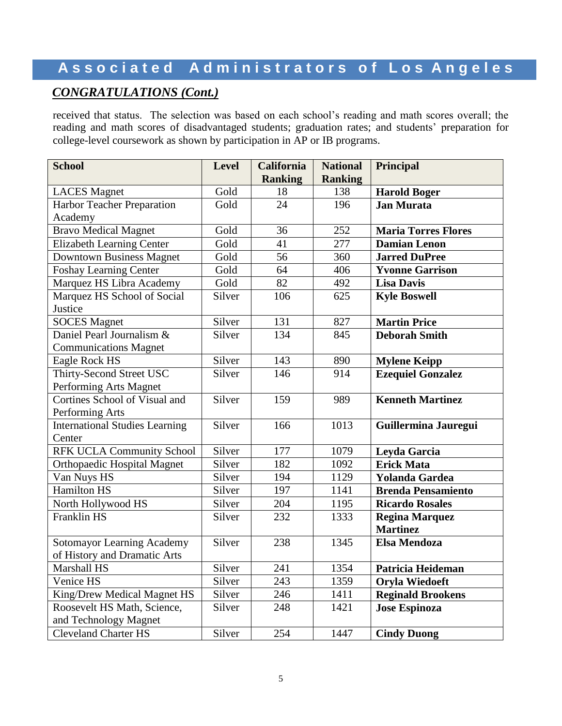## **A s s o c i a t e d A d m i n i s t r a t o r s o f L o s A n g e l e s**

## *CONGRATULATIONS (Cont.)*

received that status. The selection was based on each school's reading and math scores overall; the reading and math scores of disadvantaged students; graduation rates; and students' preparation for college-level coursework as shown by participation in AP or IB programs.

| <b>School</b>                         | <b>Level</b> | <b>California</b> | <b>National</b> | Principal                  |  |
|---------------------------------------|--------------|-------------------|-----------------|----------------------------|--|
|                                       |              | <b>Ranking</b>    | <b>Ranking</b>  |                            |  |
| <b>LACES</b> Magnet                   | Gold         | 18                | 138             | <b>Harold Boger</b>        |  |
| Harbor Teacher Preparation            | Gold         | 24                | 196             | <b>Jan Murata</b>          |  |
| Academy                               |              |                   |                 |                            |  |
| <b>Bravo Medical Magnet</b>           | Gold         | 36                | 252             | <b>Maria Torres Flores</b> |  |
| <b>Elizabeth Learning Center</b>      | Gold         | 41                | 277             | <b>Damian Lenon</b>        |  |
| <b>Downtown Business Magnet</b>       | Gold         | 56                | 360             | <b>Jarred DuPree</b>       |  |
| <b>Foshay Learning Center</b>         | Gold         | 64                | 406             | <b>Yvonne Garrison</b>     |  |
| Marquez HS Libra Academy              | Gold         | 82                | 492             | <b>Lisa Davis</b>          |  |
| Marquez HS School of Social           | Silver       | 106               | 625             | <b>Kyle Boswell</b>        |  |
| Justice                               |              |                   |                 |                            |  |
| <b>SOCES</b> Magnet                   | Silver       | 131               | 827             | <b>Martin Price</b>        |  |
| Daniel Pearl Journalism &             | Silver       | 134               | 845             | <b>Deborah Smith</b>       |  |
| <b>Communications Magnet</b>          |              |                   |                 |                            |  |
| Eagle Rock HS                         | Silver       | 143               | 890             | <b>Mylene Keipp</b>        |  |
| Thirty-Second Street USC              | Silver       | 146               | 914             | <b>Ezequiel Gonzalez</b>   |  |
| Performing Arts Magnet                |              |                   |                 |                            |  |
| Cortines School of Visual and         | Silver       | 159               | 989             | <b>Kenneth Martinez</b>    |  |
| Performing Arts                       |              |                   |                 |                            |  |
| <b>International Studies Learning</b> | Silver       | 166               | 1013            | Guillermina Jauregui       |  |
| Center                                |              |                   |                 |                            |  |
| <b>RFK UCLA Community School</b>      | Silver       | 177               | 1079            | Leyda Garcia               |  |
| <b>Orthopaedic Hospital Magnet</b>    | Silver       | 182               | 1092            | <b>Erick Mata</b>          |  |
| Van Nuys HS                           | Silver       | 194               | 1129            | <b>Yolanda Gardea</b>      |  |
| <b>Hamilton HS</b>                    | Silver       | 197               | 1141            | <b>Brenda Pensamiento</b>  |  |
| North Hollywood HS                    | Silver       | 204               | 1195            | <b>Ricardo Rosales</b>     |  |
| Franklin HS                           | Silver       | 232               | 1333            | <b>Regina Marquez</b>      |  |
|                                       |              |                   |                 | <b>Martinez</b>            |  |
| <b>Sotomayor Learning Academy</b>     | Silver       | 238               | 1345            | <b>Elsa Mendoza</b>        |  |
| of History and Dramatic Arts          |              |                   |                 |                            |  |
| Marshall HS                           | Silver       | 241               | 1354            | Patricia Heideman          |  |
| Venice HS                             | Silver       | 243               | 1359            | <b>Oryla Wiedoeft</b>      |  |
| King/Drew Medical Magnet HS           | Silver       | 246               | 1411            | <b>Reginald Brookens</b>   |  |
| Roosevelt HS Math, Science,           | Silver       | 248               | 1421            | <b>Jose Espinoza</b>       |  |
| and Technology Magnet                 |              |                   |                 |                            |  |
| <b>Cleveland Charter HS</b>           | Silver       | 254               | 1447            | <b>Cindy Duong</b>         |  |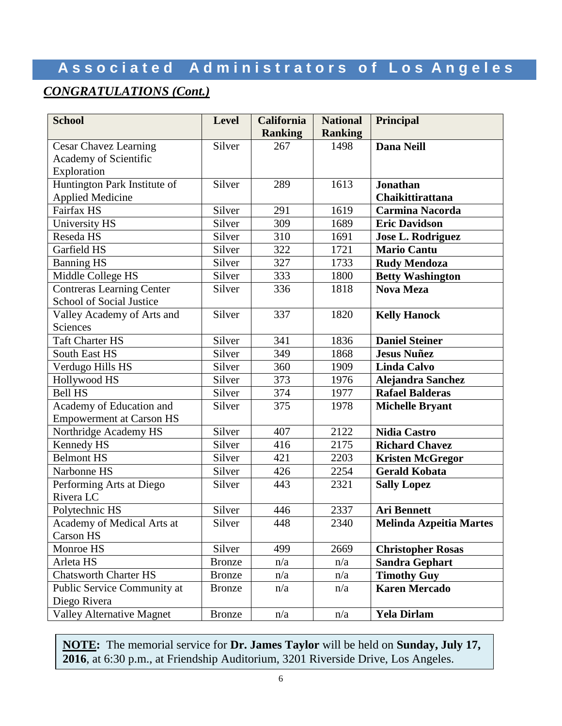## **A s s o c i a t e d A d m i n i s t r a t o r s o f L o s A n g e l e s**

#### *CONGRATULATIONS (Cont.)*

| <b>School</b>                    | <b>Level</b>  | <b>California</b> | <b>National</b> | Principal                      |
|----------------------------------|---------------|-------------------|-----------------|--------------------------------|
|                                  |               | <b>Ranking</b>    | <b>Ranking</b>  |                                |
| <b>Cesar Chavez Learning</b>     | Silver        | 267               | 1498            | <b>Dana Neill</b>              |
| Academy of Scientific            |               |                   |                 |                                |
| Exploration                      |               |                   |                 |                                |
| Huntington Park Institute of     | Silver        | 289               | 1613            | <b>Jonathan</b>                |
| <b>Applied Medicine</b>          |               |                   |                 | Chaikittirattana               |
| Fairfax HS                       | Silver        | 291               | 1619            | <b>Carmina Nacorda</b>         |
| University HS                    | Silver        | 309               | 1689            | <b>Eric Davidson</b>           |
| Reseda HS                        | Silver        | 310               | 1691            | <b>Jose L. Rodriguez</b>       |
| Garfield HS                      | Silver        | 322               | 1721            | <b>Mario Cantu</b>             |
| <b>Banning HS</b>                | Silver        | 327               | 1733            | <b>Rudy Mendoza</b>            |
| Middle College HS                | Silver        | 333               | 1800            | <b>Betty Washington</b>        |
| <b>Contreras Learning Center</b> | Silver        | 336               | 1818            | <b>Nova Meza</b>               |
| School of Social Justice         |               |                   |                 |                                |
| Valley Academy of Arts and       | Silver        | 337               | 1820            | <b>Kelly Hanock</b>            |
| Sciences                         |               |                   |                 |                                |
| <b>Taft Charter HS</b>           | Silver        | 341               | 1836            | <b>Daniel Steiner</b>          |
| South East HS                    | Silver        | 349               | 1868            | <b>Jesus Nuñez</b>             |
| Verdugo Hills HS                 | Silver        | 360               | 1909            | <b>Linda Calvo</b>             |
| Hollywood HS                     | Silver        | 373               | 1976            | Alejandra Sanchez              |
| <b>Bell HS</b>                   | Silver        | 374               | 1977            | <b>Rafael Balderas</b>         |
| Academy of Education and         | Silver        | 375               | 1978            | <b>Michelle Bryant</b>         |
| <b>Empowerment at Carson HS</b>  |               |                   |                 |                                |
| Northridge Academy HS            | Silver        | 407               | 2122            | <b>Nidia Castro</b>            |
| Kennedy HS                       | Silver        | 416               | 2175            | <b>Richard Chavez</b>          |
| <b>Belmont HS</b>                | Silver        | 421               | 2203            | <b>Kristen McGregor</b>        |
| Narbonne HS                      | Silver        | 426               | 2254            | <b>Gerald Kobata</b>           |
| Performing Arts at Diego         | Silver        | 443               | 2321            | <b>Sally Lopez</b>             |
| Rivera LC                        |               |                   |                 |                                |
| Polytechnic HS                   | Silver        | 446               | 2337            | <b>Ari Bennett</b>             |
| Academy of Medical Arts at       | Silver        | 448               | 2340            | <b>Melinda Azpeitia Martes</b> |
| Carson HS                        |               |                   |                 |                                |
| Monroe HS                        | Silver        | 499               | 2669            | <b>Christopher Rosas</b>       |
| Arleta HS                        | <b>Bronze</b> | n/a               | n/a             | <b>Sandra Gephart</b>          |
| <b>Chatsworth Charter HS</b>     | <b>Bronze</b> | n/a               | n/a             | <b>Timothy Guy</b>             |
| Public Service Community at      | <b>Bronze</b> | n/a               | n/a             | <b>Karen Mercado</b>           |
| Diego Rivera                     |               |                   |                 |                                |
| <b>Valley Alternative Magnet</b> | <b>Bronze</b> | n/a               | n/a             | <b>Yela Dirlam</b>             |

**NOTE:** The memorial service for **Dr. James Taylor** will be held on **Sunday, July 17, 2016**, at 6:30 p.m., at Friendship Auditorium, 3201 Riverside Drive, Los Angeles.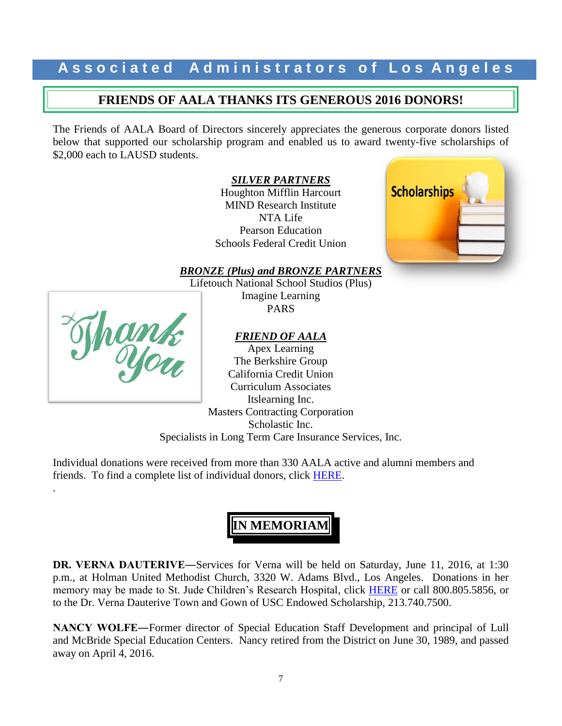#### **FRIENDS OF AALA THANKS ITS GENEROUS 2016 DONORS!**

The Friends of AALA Board of Directors sincerely appreciates the generous corporate donors listed below that supported our scholarship program and enabled us to award twenty-five scholarships of \$2,000 each to LAUSD students.

*SILVER PARTNERS*

Houghton Mifflin Harcourt MIND Research Institute NTA Life Pearson Education Schools Federal Credit Union



*BRONZE (Plus) and BRONZE PARTNERS*

Lifetouch National School Studios (Plus) Imagine Learning PARS

#### *FRIEND OF AALA*



.

Apex Learning The Berkshire Group California Credit Union Curriculum Associates Itslearning Inc. Masters Contracting Corporation Scholastic Inc. Specialists in Long Term Care Insurance Services, Inc.

Individual donations were received from more than 330 AALA active and alumni members and friends. To find a complete list of individual donors, click [HERE.](http://www.aala.us/docs/2016/06/DONATION-LIST-2015-2016-rev2.pdf)

## **IN MEMORIAM**

**DR. VERNA DAUTERIVE―**Services for Verna will be held on Saturday, June 11, 2016, at 1:30 p.m., at Holman United Methodist Church, 3320 W. Adams Blvd., Los Angeles. Donations in her memory may be made to St. Jude Children's Research Hospital, click [HERE](https://shop.stjude.org/GiftCatalog/donation.do?cID=14262&pID=24671) or call 800.805.5856, or to the Dr. Verna Dauterive Town and Gown of USC Endowed Scholarship, 213.740.7500.

**NANCY WOLFE―**Former director of Special Education Staff Development and principal of Lull and McBride Special Education Centers. Nancy retired from the District on June 30, 1989, and passed away on April 4, 2016.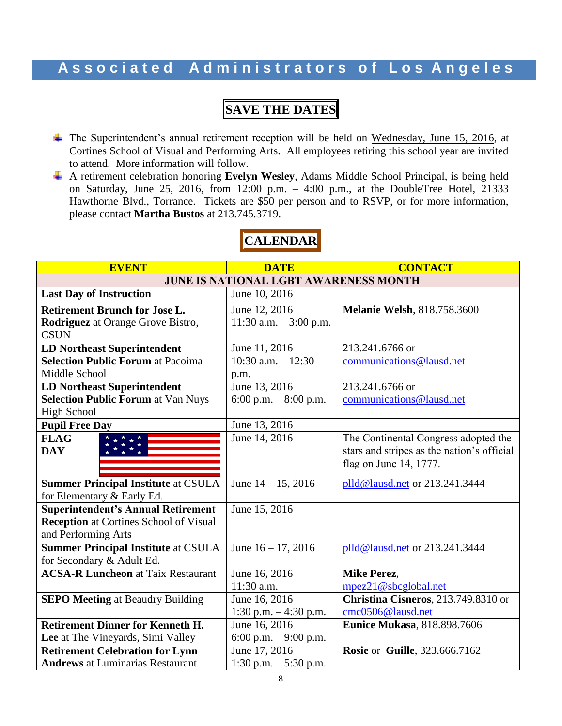## **SAVE THE DATES**

- The Superintendent's annual retirement reception will be held on Wednesday, June 15, 2016, at Cortines School of Visual and Performing Arts. All employees retiring this school year are invited to attend. More information will follow.
- A retirement celebration honoring **Evelyn Wesley**, Adams Middle School Principal, is being held on Saturday, June 25, 2016, from 12:00 p.m. – 4:00 p.m., at the DoubleTree Hotel, 21333 Hawthorne Blvd., Torrance. Tickets are \$50 per person and to RSVP, or for more information, please contact **Martha Bustos** at 213.745.3719.

| <b>EVENT</b>                                  | <b>DATE</b>             | <b>CONTACT</b>                             |  |
|-----------------------------------------------|-------------------------|--------------------------------------------|--|
| <b>JUNE IS NATIONAL LGBT AWARENESS MONTH</b>  |                         |                                            |  |
| <b>Last Day of Instruction</b>                | June 10, 2016           |                                            |  |
| <b>Retirement Brunch for Jose L.</b>          | June 12, 2016           | <b>Melanie Welsh, 818.758.3600</b>         |  |
| Rodriguez at Orange Grove Bistro,             | 11:30 a.m. $-3:00$ p.m. |                                            |  |
| <b>CSUN</b>                                   |                         |                                            |  |
| <b>LD Northeast Superintendent</b>            | June 11, 2016           | 213.241.6766 or                            |  |
| <b>Selection Public Forum at Pacoima</b>      | 10:30 a.m. $-12:30$     | communications@lausd.net                   |  |
| Middle School                                 | p.m.                    |                                            |  |
| <b>LD Northeast Superintendent</b>            | June 13, 2016           | 213.241.6766 or                            |  |
| <b>Selection Public Forum at Van Nuys</b>     | 6:00 p.m. $-8:00$ p.m.  | communications@lausd.net                   |  |
| <b>High School</b>                            |                         |                                            |  |
| <b>Pupil Free Day</b>                         | June 13, 2016           |                                            |  |
| <b>FLAG</b>                                   | June 14, 2016           | The Continental Congress adopted the       |  |
| <b>DAY</b>                                    |                         | stars and stripes as the nation's official |  |
|                                               |                         | flag on June 14, 1777.                     |  |
|                                               |                         |                                            |  |
| <b>Summer Principal Institute at CSULA</b>    | June $14 - 15$ , 2016   | plld@lausd.net or 213.241.3444             |  |
| for Elementary & Early Ed.                    |                         |                                            |  |
| <b>Superintendent's Annual Retirement</b>     | June 15, 2016           |                                            |  |
| <b>Reception</b> at Cortines School of Visual |                         |                                            |  |
| and Performing Arts                           |                         |                                            |  |
| <b>Summer Principal Institute at CSULA</b>    | June $16 - 17$ , 2016   | plld@lausd.net or 213.241.3444             |  |
| for Secondary & Adult Ed.                     |                         |                                            |  |
| <b>ACSA-R Luncheon at Taix Restaurant</b>     | June 16, 2016           | <b>Mike Perez,</b>                         |  |
|                                               | $11:30$ a.m.            | mpez21@sbcglobal.net                       |  |
| <b>SEPO Meeting at Beaudry Building</b>       | June 16, 2016           | Christina Cisneros, 213.749.8310 or        |  |
|                                               | 1:30 p.m. $-4:30$ p.m.  | cmc0506@lausd.net                          |  |
| <b>Retirement Dinner for Kenneth H.</b>       | June 16, 2016           | <b>Eunice Mukasa</b> , 818.898.7606        |  |
| Lee at The Vineyards, Simi Valley             | 6:00 p.m. $-9:00$ p.m.  |                                            |  |
| <b>Retirement Celebration for Lynn</b>        | June 17, 2016           | <b>Rosie or Guille, 323.666.7162</b>       |  |
| <b>Andrews</b> at Luminarias Restaurant       | 1:30 p.m. $-5:30$ p.m.  |                                            |  |

## **CALENDAR**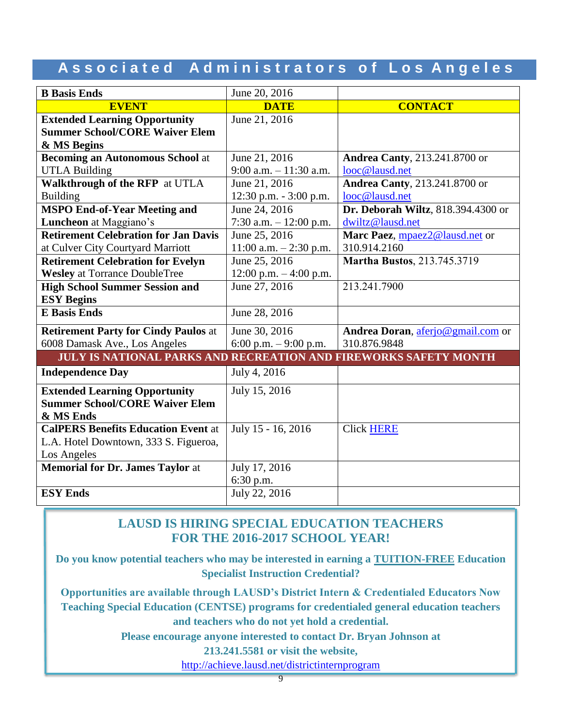## **A s s o c i a t e d A d m i n i s t r a t o r s o f L o s A n g e l e s**

| <b>B</b> Basis Ends                                                     | June 20, 2016             |                                       |
|-------------------------------------------------------------------------|---------------------------|---------------------------------------|
| <b>EVENT</b>                                                            | <b>DATE</b>               | <b>CONTACT</b>                        |
| <b>Extended Learning Opportunity</b>                                    | June 21, 2016             |                                       |
| <b>Summer School/CORE Waiver Elem</b>                                   |                           |                                       |
| & MS Begins                                                             |                           |                                       |
| <b>Becoming an Autonomous School at</b>                                 | June 21, 2016             | <b>Andrea Canty</b> , 213.241.8700 or |
| <b>UTLA Building</b>                                                    | 9:00 a.m. $-11:30$ a.m.   | looc@lausd.net                        |
| Walkthrough of the RFP at UTLA                                          | June 21, 2016             | <b>Andrea Canty</b> , 213.241.8700 or |
| <b>Building</b>                                                         | $12:30$ p.m. $-3:00$ p.m. | looc@lausd.net                        |
| <b>MSPO End-of-Year Meeting and</b>                                     | June 24, 2016             | Dr. Deborah Wiltz, 818.394.4300 or    |
| Luncheon at Maggiano's                                                  | 7:30 a.m. $-12:00$ p.m.   | dwiltz@lausd.net                      |
| <b>Retirement Celebration for Jan Davis</b>                             | June 25, 2016             | Marc Paez, mpaez2@lausd.net or        |
| at Culver City Courtyard Marriott                                       | 11:00 a.m. $- 2:30$ p.m.  | 310.914.2160                          |
| <b>Retirement Celebration for Evelyn</b>                                | June 25, 2016             | <b>Martha Bustos</b> , 213.745.3719   |
| <b>Wesley</b> at Torrance DoubleTree                                    | $12:00$ p.m. $-4:00$ p.m. |                                       |
| <b>High School Summer Session and</b>                                   | June 27, 2016             | 213.241.7900                          |
| <b>ESY Begins</b>                                                       |                           |                                       |
| <b>E</b> Basis Ends                                                     | June 28, 2016             |                                       |
| <b>Retirement Party for Cindy Paulos at</b>                             | June 30, 2016             | Andrea Doran, aferjo@gmail.com or     |
| 6008 Damask Ave., Los Angeles                                           | 6:00 p.m. $-9:00$ p.m.    | 310.876.9848                          |
| <b>JULY IS NATIONAL PARKS AND RECREATION AND FIREWORKS SAFETY MONTH</b> |                           |                                       |
| <b>Independence Day</b>                                                 | July 4, 2016              |                                       |
| <b>Extended Learning Opportunity</b>                                    | July 15, 2016             |                                       |
| <b>Summer School/CORE Waiver Elem</b>                                   |                           |                                       |
| & MS Ends                                                               |                           |                                       |
| <b>CalPERS Benefits Education Event at</b>                              | July 15 - 16, 2016        | <b>Click HERE</b>                     |
| L.A. Hotel Downtown, 333 S. Figueroa,                                   |                           |                                       |
| Los Angeles                                                             |                           |                                       |
| <b>Memorial for Dr. James Taylor at</b>                                 | July 17, 2016             |                                       |
|                                                                         | 6:30 p.m.                 |                                       |
| <b>ESY Ends</b>                                                         | July 22, 2016             |                                       |

#### **LAUSD IS HIRING SPECIAL EDUCATION TEACHERS FOR THE 2016-2017 SCHOOL YEAR!**

**Do you know potential teachers who may be interested in earning a TUITION-FREE Education Specialist Instruction Credential?**

**Opportunities are available through LAUSD's District Intern & Credentialed Educators Now Teaching Special Education (CENTSE) programs for credentialed general education teachers and teachers who do not yet hold a credential.** 

**Please encourage anyone interested to contact Dr. Bryan Johnson at** 

**213.241.5581 or visit the website,**

<http://achieve.lausd.net/districtinternprogram>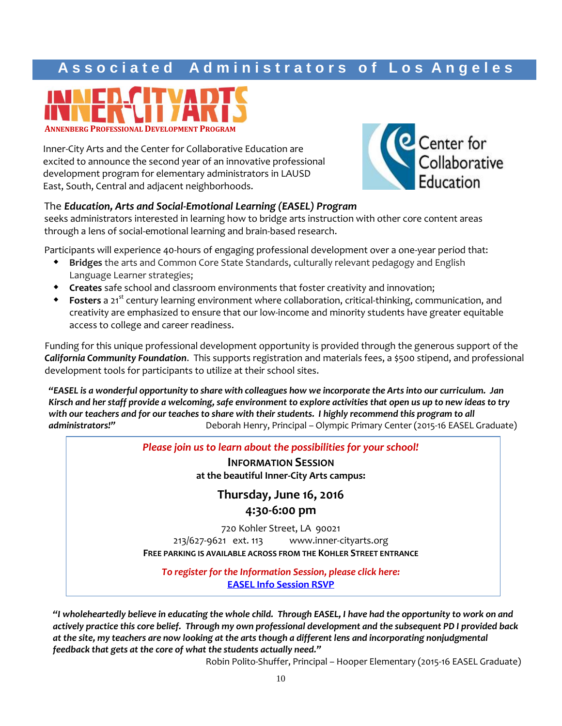

Inner-City Arts and the Center for Collaborative Education are excited to announce the second year of an innovative professional development program for elementary administrators in LAUSD East, South, Central and adjacent neighborhoods.



#### The *Education, Arts and Social-Emotional Learning (EASEL) Program*

seeks administrators interested in learning how to bridge arts instruction with other core content areas through a lens of social-emotional learning and brain-based research.

Participants will experience 40-hours of engaging professional development over a one-year period that:

- **Bridges** the arts and Common Core State Standards, culturally relevant pedagogy and English Language Learner strategies;
- **Creates** safe school and classroom environments that foster creativity and innovation;
- **Fosters** a 21<sup>st</sup> century learning environment where collaboration, critical-thinking, communication, and creativity are emphasized to ensure that our low-income and minority students have greater equitable access to college and career readiness.

Funding for this unique professional development opportunity is provided through the generous support of the *California Community Foundation*. This supports registration and materials fees, a \$500 stipend, and professional development tools for participants to utilize at their school sites.

*"EASEL is a wonderful opportunity to share with colleagues how we incorporate the Arts into our curriculum. Jan Kirsch and her staff provide a welcoming, safe environment to explore activities that open us up to new ideas to try*  with our teachers and for our teaches to share with their students. I highly recommend this program to all *administrators!"* Deborah Henry, Principal – Olympic Primary Center (2015-16 EASEL Graduate)

*Please join us to learn about the possibilities for your school!*

**INFORMATION SESSION at the beautiful Inner-City Arts campus:**

> **Thursday, June 16, 2016 4:30-6:00 pm**

720 Kohler Street, LA 90021 213/627-9621 ext. 113 www.inner-cityarts.org **FREE PARKING IS AVAILABLE ACROSS FROM THE KOHLER STREET ENTRANCE**

*To register for the Information Session, please click here:* **[EASEL Info Session RSVP](http://goo.gl/forms/RRwbp84PuMyOupMG3)**

*"I wholeheartedly believe in educating the whole child. Through EASEL, I have had the opportunity to work on and actively practice this core belief. Through my own professional development and the subsequent PD I provided back at the site, my teachers are now looking at the arts though a different lens and incorporating nonjudgmental feedback that gets at the core of what the students actually need."* 

Robin Polito-Shuffer, Principal – Hooper Elementary (2015-16 EASEL Graduate)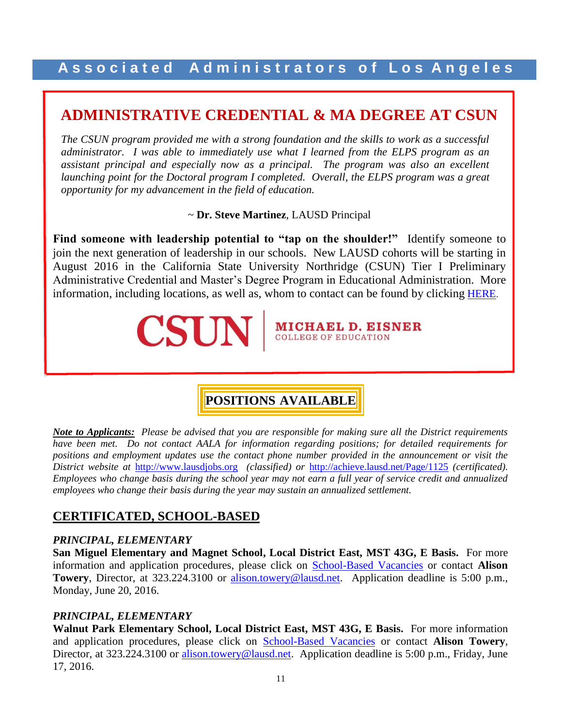## **ADMINISTRATIVE CREDENTIAL & MA DEGREE AT CSUN**

*The CSUN program provided me with a strong foundation and the skills to work as a successful administrator. I was able to immediately use what I learned from the ELPS program as an assistant principal and especially now as a principal. The program was also an excellent launching point for the Doctoral program I completed. Overall, the ELPS program was a great opportunity for my advancement in the field of education.* 

~ **Dr. Steve Martinez**, LAUSD Principal

Find someone with leadership potential to "tap on the shoulder!" Identify someone to join the next generation of leadership in our schools. New LAUSD cohorts will be starting in August 2016 in the California State University Northridge (CSUN) Tier I Preliminary Administrative Credential and Master's Degree Program in Educational Administration. More information, including locations, as well as, whom to contact can be found by clicking [HERE](http://www.aala.us/docs/2016/04/CSUN-flyer-3.pdf).



**MICHAEL D. EISNER COLLEGE OF EDUCATION** 

## **POSITIONS AVAILABLE**

*Note to Applicants: Please be advised that you are responsible for making sure all the District requirements have been met. Do not contact AALA for information regarding positions; for detailed requirements for positions and employment updates use the contact phone number provided in the announcement or visit the District website at* [http://www.lausdjobs.org](http://www.lausdjobs.org/) *(classified) or* <http://achieve.lausd.net/Page/1125> *(certificated). Employees who change basis during the school year may not earn a full year of service credit and annualized employees who change their basis during the year may sustain an annualized settlement.*

#### **CERTIFICATED, SCHOOL-BASED**

#### *PRINCIPAL, ELEMENTARY*

ł

**San Miguel Elementary and Magnet School, Local District East, MST 43G, E Basis.** For more information and application procedures, please click on [School-Based](http://achieve.lausd.net/Page/3505) Vacancie[s](http://achieve.lausd.net/Page/3505) or contact **Alison**  Towery, Director, at 323.224.3100 or **alison.towery@lausd.net**. Application deadline is 5:00 p.m., Monday, June 20, 2016.

#### *PRINCIPAL, ELEMENTARY*

**Walnut Park Elementary School, Local District East, MST 43G, E Basis.** For more information and application procedures, please click on [School-Based](http://achieve.lausd.net/Page/3505) Vacancie[s](http://achieve.lausd.net/Page/3505) or contact **Alison Towery**, Director, at 323.224.3100 or [alison.towery@lausd.net.](mailto:alison.towery@lausd.net) Application deadline is 5:00 p.m., Friday, June 17, 2016.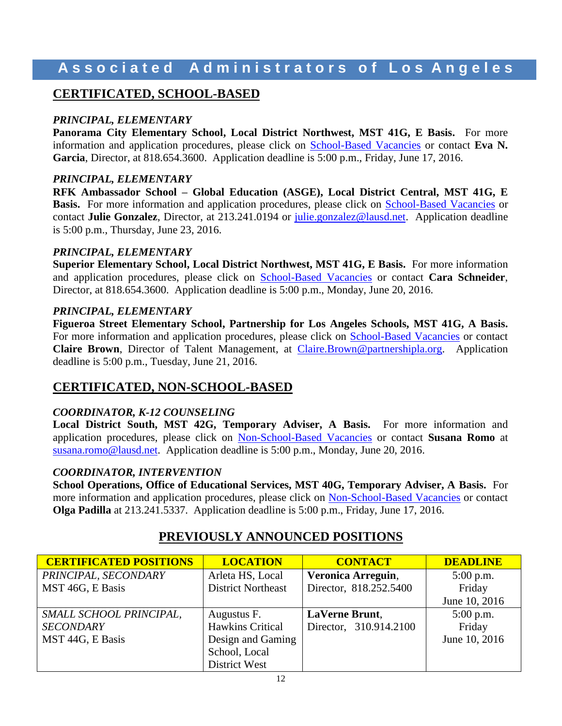#### **CERTIFICATED, SCHOOL-BASED**

#### *PRINCIPAL, ELEMENTARY*

**Panorama City Elementary School, Local District Northwest, MST 41G, E Basis.** For more information and application procedures, please click on [School-Based](http://achieve.lausd.net/Page/3505) Vacancie[s](http://achieve.lausd.net/Page/3505) or contact **Eva N. Garcia**, Director, at 818.654.3600. Application deadline is 5:00 p.m., Friday, June 17, 2016.

#### *PRINCIPAL, ELEMENTARY*

**RFK Ambassador School – Global Education (ASGE), Local District Central, MST 41G, E Ba[s](http://achieve.lausd.net/Page/3505)is.** For more information and application procedures, please click on **[School-Based](http://achieve.lausd.net/Page/3505) Vacancies** or contact **Julie Gonzalez**, Director, at 213.241.0194 or [julie.gonzalez@lausd.net.](mailto:julie.gonzalez@lausd.net) Application deadline is 5:00 p.m., Thursday, June 23, 2016.

#### *PRINCIPAL, ELEMENTARY*

**Superior Elementary School, Local District Northwest, MST 41G, E Basis.** For more information and application procedures, please click on [School-Based](http://achieve.lausd.net/Page/3505) Vacancie[s](http://achieve.lausd.net/Page/3505) or contact **Cara Schneider**, Director, at 818.654.3600. Application deadline is 5:00 p.m., Monday, June 20, 2016.

#### *PRINCIPAL, ELEMENTARY*

**Figueroa Street Elementary School, Partnership for Los Angeles Schools, MST 41G, A Basis.**  For more information and application procedures, please click on [School-Based](http://achieve.lausd.net/Page/3505) Vacancie[s](http://achieve.lausd.net/Page/3505) or contact **Claire Brown**, Director of Talent Management, at [Claire.Brown@partnershipla.org.](mailto:Claire.Brown@partnershipla.org) Application deadline is 5:00 p.m., Tuesday, June 21, 2016.

#### **CERTIFICATED, NON-SCHOOL-BASED**

#### *COORDINATOR, K-12 COUNSELING*

**Local District South, MST 42G, Temporary Adviser, A Basis.** For more information and application procedures, please click on [Non-School-Based](http://achieve.lausd.net/Page/3501) Vacancies or contact **Susana Romo** at [susana.romo@lausd.net.](mailto:susana.romo@lausd.net) Application deadline is 5:00 p.m., Monday, June 20, 2016.

#### *COORDINATOR, INTERVENTION*

**School Operations, Office of Educational Services, MST 40G, Temporary Adviser, A Basis.** For more information and application procedures, please click on [Non-School-Based](http://achieve.lausd.net/Page/3501) Vacancies or contact **Olga Padilla** at 213.241.5337. Application deadline is 5:00 p.m., Friday, June 17, 2016.

| <b>CERTIFICATED POSITIONS</b> | <b>LOCATION</b>           | <b>CONTACT</b>         | <b>DEADLINE</b> |
|-------------------------------|---------------------------|------------------------|-----------------|
| PRINCIPAL, SECONDARY          | Arleta HS, Local          | Veronica Arreguin,     | $5:00$ p.m.     |
| MST 46G, E Basis              | <b>District Northeast</b> | Director, 818.252.5400 | Friday          |
|                               |                           |                        | June 10, 2016   |
| SMALL SCHOOL PRINCIPAL,       | Augustus F.               | <b>LaVerne Brunt,</b>  | $5:00$ p.m.     |
| <b>SECONDARY</b>              | <b>Hawkins Critical</b>   | Director, 310.914.2100 | Friday          |
| MST 44G, E Basis              | Design and Gaming         |                        | June 10, 2016   |
|                               | School, Local             |                        |                 |
|                               | <b>District West</b>      |                        |                 |

#### **PREVIOUSLY ANNOUNCED POSITIONS**